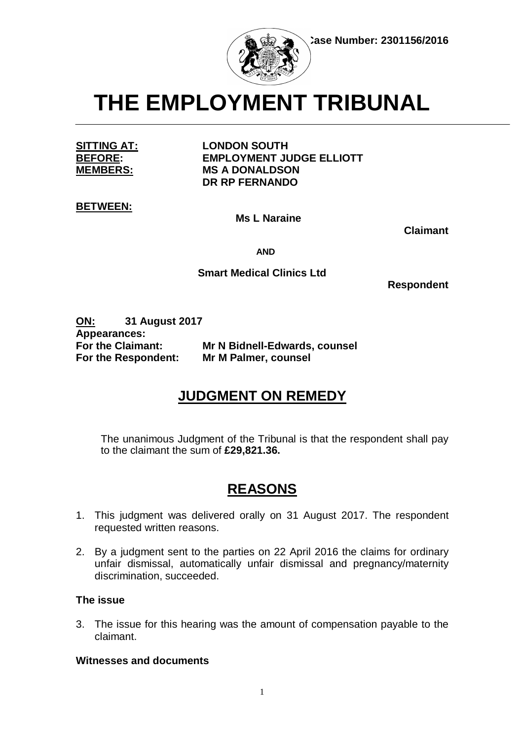

**THE EMPLOYMENT TRIBUNAL**

**SITTING AT: LONDON SOUTH BEFORE: EMPLOYMENT JUDGE ELLIOTT MEMBERS: MS A DONALDSON DR RP FERNANDO**

**BETWEEN:**

**Ms L Naraine**

 **Claimant**

 **AND**

# **Smart Medical Clinics Ltd**

 **Respondent**

**ON: 31 August 2017 Appearances: For the Claimant: Mr N Bidnell-Edwards, counsel For the Respondent: Mr M Palmer, counsel**

# **JUDGMENT ON REMEDY**

The unanimous Judgment of the Tribunal is that the respondent shall pay to the claimant the sum of **£29,821.36.**

# **REASONS**

- 1. This judgment was delivered orally on 31 August 2017. The respondent requested written reasons.
- 2. By a judgment sent to the parties on 22 April 2016 the claims for ordinary unfair dismissal, automatically unfair dismissal and pregnancy/maternity discrimination, succeeded.

## **The issue**

3. The issue for this hearing was the amount of compensation payable to the claimant.

## **Witnesses and documents**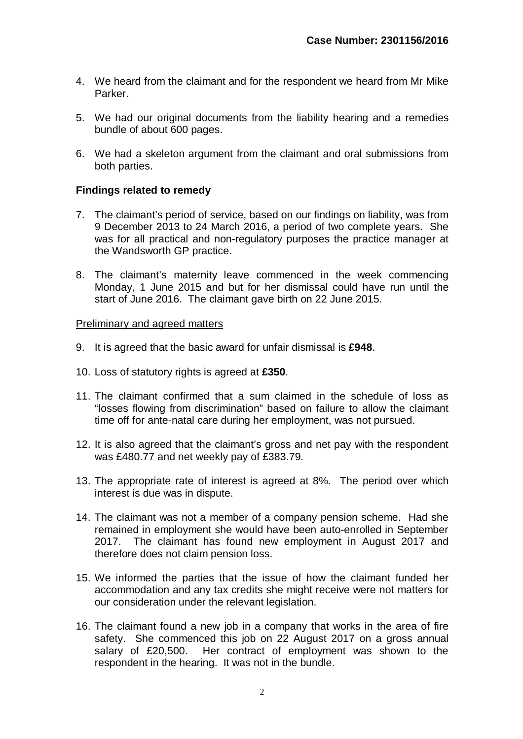- 4. We heard from the claimant and for the respondent we heard from Mr Mike Parker.
- 5. We had our original documents from the liability hearing and a remedies bundle of about 600 pages.
- 6. We had a skeleton argument from the claimant and oral submissions from both parties.

## **Findings related to remedy**

- 7. The claimant's period of service, based on our findings on liability, was from 9 December 2013 to 24 March 2016, a period of two complete years. She was for all practical and non-regulatory purposes the practice manager at the Wandsworth GP practice.
- 8. The claimant's maternity leave commenced in the week commencing Monday, 1 June 2015 and but for her dismissal could have run until the start of June 2016. The claimant gave birth on 22 June 2015.

#### Preliminary and agreed matters

- 9. It is agreed that the basic award for unfair dismissal is **£948**.
- 10. Loss of statutory rights is agreed at **£350**.
- 11. The claimant confirmed that a sum claimed in the schedule of loss as "losses flowing from discrimination" based on failure to allow the claimant time off for ante-natal care during her employment, was not pursued.
- 12. It is also agreed that the claimant's gross and net pay with the respondent was £480.77 and net weekly pay of £383.79.
- 13. The appropriate rate of interest is agreed at 8%. The period over which interest is due was in dispute.
- 14. The claimant was not a member of a company pension scheme. Had she remained in employment she would have been auto-enrolled in September 2017. The claimant has found new employment in August 2017 and therefore does not claim pension loss.
- 15. We informed the parties that the issue of how the claimant funded her accommodation and any tax credits she might receive were not matters for our consideration under the relevant legislation.
- 16. The claimant found a new job in a company that works in the area of fire safety. She commenced this job on 22 August 2017 on a gross annual salary of £20,500. Her contract of employment was shown to the respondent in the hearing. It was not in the bundle.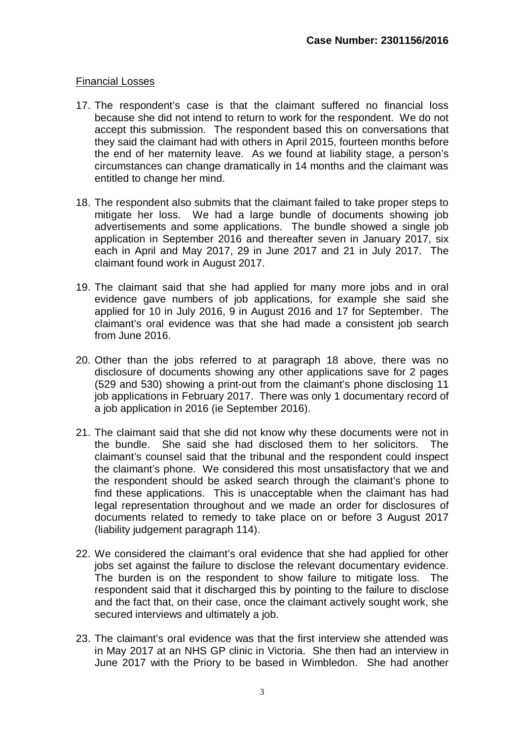### Financial Losses

- 17. The respondent's case is that the claimant suffered no financial loss because she did not intend to return to work for the respondent. We do not accept this submission. The respondent based this on conversations that they said the claimant had with others in April 2015, fourteen months before the end of her maternity leave. As we found at liability stage, a person's circumstances can change dramatically in 14 months and the claimant was entitled to change her mind.
- 18. The respondent also submits that the claimant failed to take proper steps to mitigate her loss. We had a large bundle of documents showing job advertisements and some applications. The bundle showed a single job application in September 2016 and thereafter seven in January 2017, six each in April and May 2017, 29 in June 2017 and 21 in July 2017. The claimant found work in August 2017.
- 19. The claimant said that she had applied for many more jobs and in oral evidence gave numbers of job applications, for example she said she applied for 10 in July 2016, 9 in August 2016 and 17 for September. The claimant's oral evidence was that she had made a consistent job search from June 2016.
- 20. Other than the jobs referred to at paragraph 18 above, there was no disclosure of documents showing any other applications save for 2 pages (529 and 530) showing a print-out from the claimant's phone disclosing 11 job applications in February 2017. There was only 1 documentary record of a job application in 2016 (ie September 2016).
- 21. The claimant said that she did not know why these documents were not in the bundle. She said she had disclosed them to her solicitors. The claimant's counsel said that the tribunal and the respondent could inspect the claimant's phone. We considered this most unsatisfactory that we and the respondent should be asked search through the claimant's phone to find these applications. This is unacceptable when the claimant has had legal representation throughout and we made an order for disclosures of documents related to remedy to take place on or before 3 August 2017 (liability judgement paragraph 114).
- 22. We considered the claimant's oral evidence that she had applied for other jobs set against the failure to disclose the relevant documentary evidence. The burden is on the respondent to show failure to mitigate loss. The respondent said that it discharged this by pointing to the failure to disclose and the fact that, on their case, once the claimant actively sought work, she secured interviews and ultimately a job.
- 23. The claimant's oral evidence was that the first interview she attended was in May 2017 at an NHS GP clinic in Victoria. She then had an interview in June 2017 with the Priory to be based in Wimbledon. She had another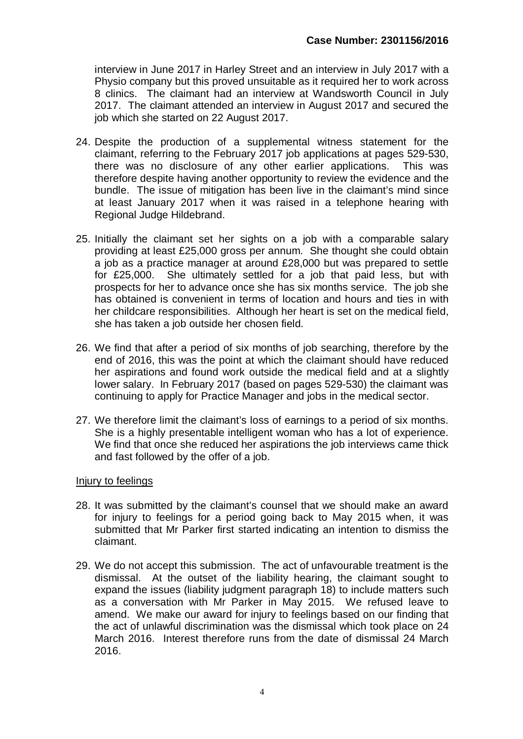interview in June 2017 in Harley Street and an interview in July 2017 with a Physio company but this proved unsuitable as it required her to work across 8 clinics. The claimant had an interview at Wandsworth Council in July 2017. The claimant attended an interview in August 2017 and secured the job which she started on 22 August 2017.

- 24. Despite the production of a supplemental witness statement for the claimant, referring to the February 2017 job applications at pages 529-530, there was no disclosure of any other earlier applications. This was therefore despite having another opportunity to review the evidence and the bundle. The issue of mitigation has been live in the claimant's mind since at least January 2017 when it was raised in a telephone hearing with Regional Judge Hildebrand.
- 25. Initially the claimant set her sights on a job with a comparable salary providing at least £25,000 gross per annum. She thought she could obtain a job as a practice manager at around £28,000 but was prepared to settle for £25,000. She ultimately settled for a job that paid less, but with prospects for her to advance once she has six months service. The job she has obtained is convenient in terms of location and hours and ties in with her childcare responsibilities. Although her heart is set on the medical field, she has taken a job outside her chosen field.
- 26. We find that after a period of six months of job searching, therefore by the end of 2016, this was the point at which the claimant should have reduced her aspirations and found work outside the medical field and at a slightly lower salary. In February 2017 (based on pages 529-530) the claimant was continuing to apply for Practice Manager and jobs in the medical sector.
- 27. We therefore limit the claimant's loss of earnings to a period of six months. She is a highly presentable intelligent woman who has a lot of experience. We find that once she reduced her aspirations the job interviews came thick and fast followed by the offer of a job.

## Injury to feelings

- 28. It was submitted by the claimant's counsel that we should make an award for injury to feelings for a period going back to May 2015 when, it was submitted that Mr Parker first started indicating an intention to dismiss the claimant.
- 29. We do not accept this submission. The act of unfavourable treatment is the dismissal. At the outset of the liability hearing, the claimant sought to expand the issues (liability judgment paragraph 18) to include matters such as a conversation with Mr Parker in May 2015. We refused leave to amend. We make our award for injury to feelings based on our finding that the act of unlawful discrimination was the dismissal which took place on 24 March 2016. Interest therefore runs from the date of dismissal 24 March 2016.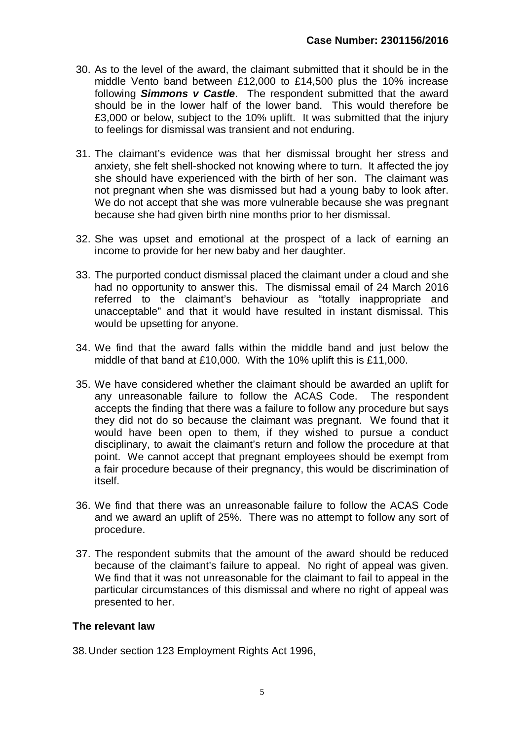- 30. As to the level of the award, the claimant submitted that it should be in the middle Vento band between £12,000 to £14,500 plus the 10% increase following *Simmons v Castle*. The respondent submitted that the award should be in the lower half of the lower band. This would therefore be £3,000 or below, subject to the 10% uplift. It was submitted that the injury to feelings for dismissal was transient and not enduring.
- 31. The claimant's evidence was that her dismissal brought her stress and anxiety, she felt shell-shocked not knowing where to turn. It affected the joy she should have experienced with the birth of her son. The claimant was not pregnant when she was dismissed but had a young baby to look after. We do not accept that she was more vulnerable because she was pregnant because she had given birth nine months prior to her dismissal.
- 32. She was upset and emotional at the prospect of a lack of earning an income to provide for her new baby and her daughter.
- 33. The purported conduct dismissal placed the claimant under a cloud and she had no opportunity to answer this. The dismissal email of 24 March 2016 referred to the claimant's behaviour as "totally inappropriate and unacceptable" and that it would have resulted in instant dismissal. This would be upsetting for anyone.
- 34. We find that the award falls within the middle band and just below the middle of that band at £10,000. With the 10% uplift this is £11,000.
- 35. We have considered whether the claimant should be awarded an uplift for any unreasonable failure to follow the ACAS Code. The respondent accepts the finding that there was a failure to follow any procedure but says they did not do so because the claimant was pregnant. We found that it would have been open to them, if they wished to pursue a conduct disciplinary, to await the claimant's return and follow the procedure at that point. We cannot accept that pregnant employees should be exempt from a fair procedure because of their pregnancy, this would be discrimination of itself.
- 36. We find that there was an unreasonable failure to follow the ACAS Code and we award an uplift of 25%. There was no attempt to follow any sort of procedure.
- 37. The respondent submits that the amount of the award should be reduced because of the claimant's failure to appeal. No right of appeal was given. We find that it was not unreasonable for the claimant to fail to appeal in the particular circumstances of this dismissal and where no right of appeal was presented to her.

# **The relevant law**

38.Under section 123 Employment Rights Act 1996,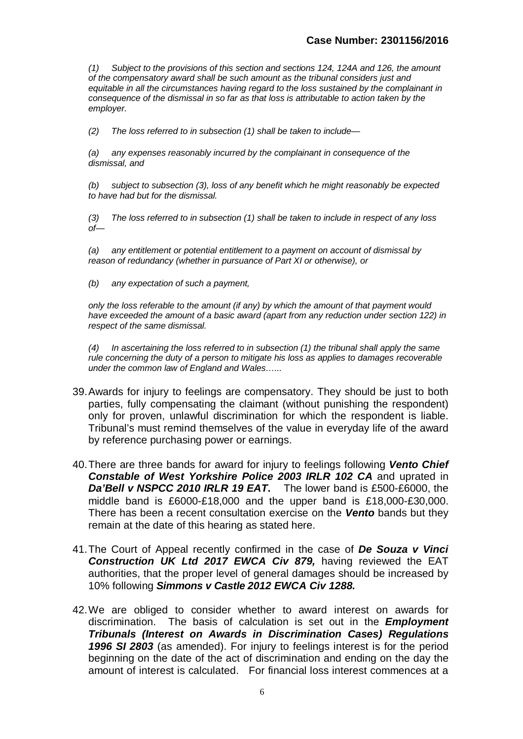*(1) Subject to the provisions of this section and sections 124, 124A and 126, the amount of the compensatory award shall be such amount as the tribunal considers just and equitable in all the circumstances having regard to the loss sustained by the complainant in consequence of the dismissal in so far as that loss is attributable to action taken by the employer.*

*(2) The loss referred to in subsection (1) shall be taken to include—*

*(a) any expenses reasonably incurred by the complainant in consequence of the dismissal, and*

*(b) subject to subsection (3), loss of any benefit which he might reasonably be expected to have had but for the dismissal.*

*(3) The loss referred to in subsection (1) shall be taken to include in respect of any loss of—*

*(a) any entitlement or potential entitlement to a payment on account of dismissal by reason of redundancy (whether in pursuance of Part XI or otherwise), or*

*(b) any expectation of such a payment,*

*only the loss referable to the amount (if any) by which the amount of that payment would have exceeded the amount of a basic award (apart from any reduction under section 122) in respect of the same dismissal.*

*(4) In ascertaining the loss referred to in subsection (1) the tribunal shall apply the same rule concerning the duty of a person to mitigate his loss as applies to damages recoverable under the common law of England and Wales…...*

- 39.Awards for injury to feelings are compensatory. They should be just to both parties, fully compensating the claimant (without punishing the respondent) only for proven, unlawful discrimination for which the respondent is liable. Tribunal's must remind themselves of the value in everyday life of the award by reference purchasing power or earnings.
- 40.There are three bands for award for injury to feelings following *Vento Chief Constable of West Yorkshire Police 2003 IRLR 102 CA* and uprated in *Da'Bell v NSPCC 2010 IRLR 19 EAT***.** The lower band is £500-£6000, the middle band is £6000-£18,000 and the upper band is £18,000-£30,000. There has been a recent consultation exercise on the *Vento* bands but they remain at the date of this hearing as stated here.
- 41.The Court of Appeal recently confirmed in the case of *De Souza v Vinci Construction UK Ltd 2017 EWCA Civ 879,* having reviewed the EAT authorities, that the proper level of general damages should be increased by 10% following *Simmons v Castle 2012 EWCA Civ 1288.*
- 42.We are obliged to consider whether to award interest on awards for discrimination. The basis of calculation is set out in the *Employment Tribunals (Interest on Awards in Discrimination Cases) Regulations 1996 SI 2803* (as amended). For injury to feelings interest is for the period beginning on the date of the act of discrimination and ending on the day the amount of interest is calculated. For financial loss interest commences at a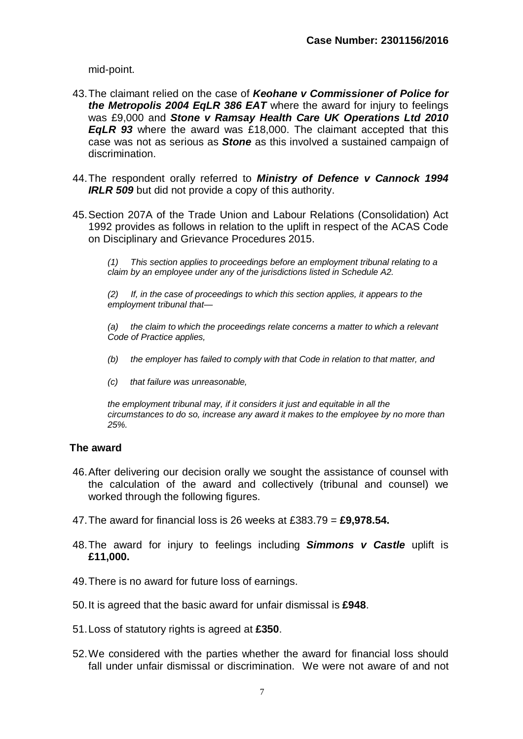mid-point.

- 43.The claimant relied on the case of *Keohane v Commissioner of Police for the Metropolis 2004 EqLR 386 EAT* where the award for injury to feelings was £9,000 and *Stone v Ramsay Health Care UK Operations Ltd 2010 EqLR 93* where the award was £18,000. The claimant accepted that this case was not as serious as *Stone* as this involved a sustained campaign of discrimination.
- 44.The respondent orally referred to *Ministry of Defence v Cannock 1994 IRLR 509* but did not provide a copy of this authority.
- 45.Section 207A of the Trade Union and Labour Relations (Consolidation) Act 1992 provides as follows in relation to the uplift in respect of the ACAS Code on Disciplinary and Grievance Procedures 2015.

*(1) This section applies to proceedings before an employment tribunal relating to a claim by an employee under any of the jurisdictions listed in Schedule A2.*

*(2) If, in the case of proceedings to which this section applies, it appears to the employment tribunal that—*

*(a)* the claim to which the proceedings relate concerns a matter to which a relevant *Code of Practice applies,*

- *(b) the employer has failed to comply with that Code in relation to that matter, and*
- *(c) that failure was unreasonable,*

*the employment tribunal may, if it considers it just and equitable in all the circumstances to do so, increase any award it makes to the employee by no more than 25%.*

#### **The award**

- 46.After delivering our decision orally we sought the assistance of counsel with the calculation of the award and collectively (tribunal and counsel) we worked through the following figures.
- 47.The award for financial loss is 26 weeks at £383.79 = **£9,978.54.**
- 48.The award for injury to feelings including *Simmons v Castle* uplift is **£11,000.**
- 49.There is no award for future loss of earnings.
- 50.It is agreed that the basic award for unfair dismissal is **£948**.
- 51.Loss of statutory rights is agreed at **£350**.
- 52.We considered with the parties whether the award for financial loss should fall under unfair dismissal or discrimination. We were not aware of and not